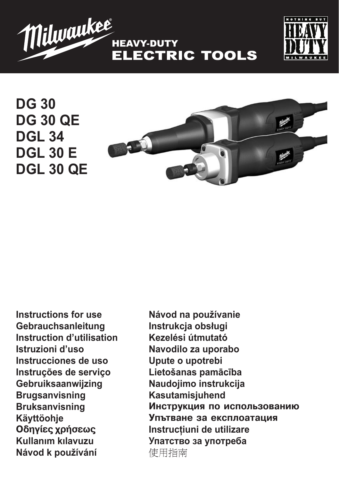



**DG 30 DG 30 QE DGL 34 DGL 30 E DGL 30 QE**



**Instructions for use Gebrauchsanleitung Instruction d'utilisation Istruzioni d'uso Instrucciones de uso Instruções de serviço Gebruiksaanwijzing Brugsanvisning Bruksanvisning Käyttöohje Οδηγίες χρήσεως Kullanım kılavuzu Návod k používání**

**Návod na používanie Instrukcja obsługi Kezelési útmutató Navodilo za uporabo Upute o upotrebi Lietošanas pamācība Naudojimo instrukcija Kasutamisjuhend Инструкция по использованию Упътване за експлоатация Instrucţiuni de utilizare Упатство за употреба** 使用指南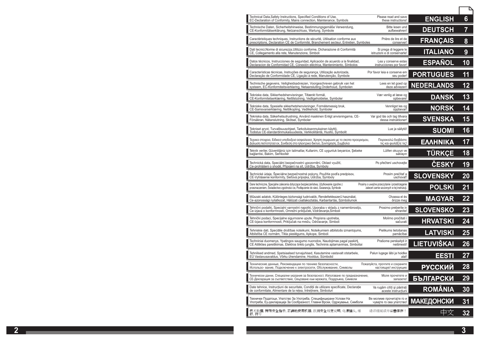| Technical Data, Safety Instructions, Specified Conditions of Use,<br>Please read and save<br>EC-Declaration of Conformity, Mains connection, Maintenance, Symbols<br>these instructions!                                                                                | <b>ENGLISH</b>    | 6  |
|-------------------------------------------------------------------------------------------------------------------------------------------------------------------------------------------------------------------------------------------------------------------------|-------------------|----|
| Technische Daten, Sicherheitshinweise, Bestimmungsgemäße Verwendung,<br>Bitte lesen und<br>CE-Konformitätserklärung, Netzanschluss, Wartung, Symbole<br>aufbewahren!                                                                                                    | <b>DEUTSCH</b>    | 7  |
| Caractéristiques techniques, Instructions de sécurité, Utilisation conforme aux<br>Prière de lire et de<br>prescriptions, Declaration CE de Conformité, Branchement secteur, Entretien, Symboles<br>conserver!                                                          | <b>FRANÇAIS</b>   | 8  |
| Dati tecnici, Norme di sicurezza, Utilizzo conforme, Dicharazione di Conformità<br>Si prega di leggere le<br>CE, Collegamento alla rete, Manutenzione, Simboli<br>istruzioni e di conservarle!                                                                          | <b>ITALIANO</b>   | 9  |
| Datos técnicos, Instrucciones de seguridad, Aplicación de acuerdo a la finalidad,<br>Lea y conserve estas<br>Declaracion de Conformidad CE, Conexión eléctrica, Mantenimiento, Símbolos<br>instrucciones por favor!                                                     | ESPAÑOL           | 10 |
| Características técnicas, Instruções de segurança, Utilização autorizada,<br>Por favor leia e conserve em<br>Declaração de Conformidade CE, Ligação à rede, Manutenção, Symbole<br>seu poder!                                                                           | <b>PORTUGUES</b>  | 11 |
| Technische gegevens, Veiligheidsadviezen, Voorgeschreven gebruik van het<br>Lees en let goed op<br>systeem, EC-Konformiteitsverklaring, Netaansluiting, Onderhoud, Symbolen<br>deze adviezen!                                                                           | <b>NEDERLANDS</b> | 12 |
| Tekniske data, Sikkerhedshenvisninger, Tiltænkt formål,<br>Vær venlig at læse og<br>CE-Konformitetserklæring, Nettilslutning, Vedligeholdelse, Symboler<br>opbevare!                                                                                                    | <b>DANSK</b>      | 13 |
| Tekniske data, Spesielle sikkerhetshenvisninger, Formålsmessig bruk,<br>Vennligst les og<br>CE-Samsvarserklæring, Nettilkopling, Vedlikehold, Symboler<br>oppbevar!                                                                                                     | <b>NORSK</b>      | 14 |
| Tekniska data, Säkerhetsutrustning, Använd maskinen Enligt anvisningarna, CE-<br>Var god läs och tag tillvara<br>Försäkran, Nätanslutning, Skötsel, Symboler<br>dessa instruktioner!                                                                                    | <b>SVENSKA</b>    | 15 |
| Tekniset arvot, Turvallisuusohjeet, Tarkoituksenmukainen käyttö,<br>Lue ja säilytö!<br>Todistus CE-standardinmukaisuudesta, Verkkoliitäntä, Huolto, Symbolit                                                                                                            | <b>SUOMI</b>      | 16 |
| Τεχνικα στοιχεια, Ειδικεσ υποδειξεισ ασφαλειασ, Χρηση συμφωνα με το σκοπο προορισμου,<br>Παρακαλώ διαβάστε<br>Δηλωση πιστοτητασ εκ, Συνδεση στο ηλεκτρικο δικτυο, Συντηρηση, Συμβολα<br>τις και φυλάξτε τις!                                                            | <b>EAAHNIKA</b>   | 17 |
| Teknik veriler, Güvenliğiniz için talimatlar, Kullanim, CE uygunluk beyanice, Şebeke<br>Lütfen okuyun ve<br>bağlantisi, Bakim, Semboller<br>saklayın                                                                                                                    | <u>TÜRKÇE</u>     | 18 |
| Technická data, Speciální bezpečnostní upozornění, Oblast využití,<br>Po přečtení uschovejte<br>Ce-prohlášení o shodě, Připojení na sít, Údržba, Symboly                                                                                                                | ČESKY             | 19 |
| Technické údaje, Špeciálne bezpečnostné pokyny, Použitie podľa predpisov,<br>Prosím prečítať a<br>CE-Vyhlásenie konformity, Sieťová prípojka, Údrzba, Symboly<br>uschovať!                                                                                              | <b>SLOVENSKY</b>  | 20 |
| Dane techniczne, Specjalne zalecenia dotyczące bezpieczeństwa, Użytkowanie zgodne z<br>Prosimy o uważne przeczytanie i przestrzeganie<br>przeznaczeniem, Świadectwo zgodności ce, Podłączenie do sieci, Gwarancja, Symbole<br>zaleceń zamie szczonych w tej instrukcji. | POLSKI            | 21 |
| Műszaki adatok, Különleges biztonsági tudnivalók, Rendeltetésszerű használat,<br>Olvassa el és<br>Ce-azonossági nyilatkozat, Hálózati csatlakoztatás, Karbantartás, Szimbólumok<br>őrizze meg                                                                           | <b>MAGYAR</b>     | 22 |
| Tehnični podatki, Specialni varnostni napotki, Uporaba v skladu z namembnostjo,<br>Prosimo preberite in<br>Ce-izjava o konformnosti, Omrežni priključek, Vzdrževanje,Simboli<br>shranite!                                                                               | <b>SLOVENSKO</b>  | 23 |
| Tehnički podaci, Specijalne sigurnosne upute, Propisna upotreba,<br>Molimo pročitati i<br>CE-Izjava konformnosti, Priključak na mrežu, Održavanje, Simboli<br>sačuvati                                                                                                  | HRVATSKI          | 24 |
| Tehniskie dati, Speciālie drošības noteikumi, Noteikumiem atbilstošs izmantojums,<br>Pielikums lietošanas<br>Atbilstība CE normām, Tīkla pieslēgums, Apkope, Simboli<br>pamācībai                                                                                       | <b>LATVISKI</b>   | 25 |
| Techniniai duomenys, Ypatingos saugumo nuorodos, Naudojimas pagal paskirti,<br>Prašome perskaitvti ir<br>CE Atitikties pareiškimas, Elektros tinklo jungtis, Techninis aptarnavimas, Simboliai<br>neišmesti!                                                            | LIETUVIŠKAI       | 26 |
| Tehnilised andmed, Spetsiaalsed turvajuhised, Kasutamine vastavalt otstarbele,<br>Palun lugege läbi ja hoidke<br>EÜ Vastavusavaldus, Võrku ühendamine, Hooldus, Sümbolid<br>alal!                                                                                       | EESTI             | 27 |
| Технические данные, Рекомендации по технике безопасности,<br>Пожалуйста, прочтите и сохраните<br>Использо-вание, Подключение к электросети, Обслуживание, Символы<br>настоящую! инструкцию                                                                              | <u>РУССКИЙ</u>    | 28 |
| Технически данни, Специални указания за безопасност, Използване по предназначение,<br>Моля прочетете и<br>СЕ-Декларация за съответствие, Свързване към мрежата, Поддръжка, Символи<br>запазете!                                                                         | <b>БЪЛГАРСКИ</b>  | 29 |
| Date tehnice, Instrucțiuni de securitate, Condiții de utilizare specificate, Declarație<br>Va rugăm citiți și păstrați<br>de conformitate, Alimentare de la retea, Intretinere, Simboluri<br>aceste instrucțiuni                                                        | ROMÂNIA           | 30 |
| Технички Податоци, Упатство За Употреба, Специфицирани Услови На<br>Ве молиме прочитајте го и<br>Употреба, Еу-декларација За Сообразност, Главни Врски, Одржување, Симболи<br>чувајте го ова упатство!                                                                  | <b>МАКЕДОНСКИ</b> | 31 |
| 技术数据,特殊安全指示,正确地使用机器,欧洲安全规定说明,电源插头,维<br>请详细阅读并妥善保存!<br>修,符号                                                                                                                                                                                                              | 中汉                | 32 |
|                                                                                                                                                                                                                                                                         |                   |    |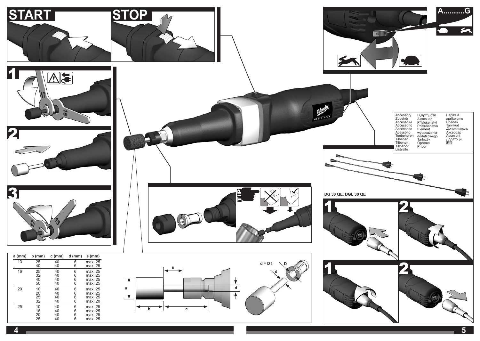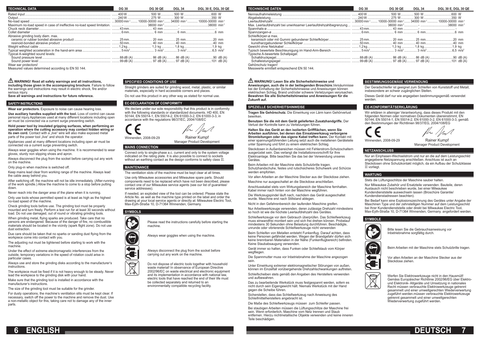| <b>TECHNICAL DATA</b>                              | <b>DG 30</b> | <b>DG 30 QE</b> | <b>DGL 34</b> | <b>DGL 30 E. DGL 30 QE</b> |
|----------------------------------------------------|--------------|-----------------|---------------|----------------------------|
|                                                    |              |                 |               |                            |
|                                                    |              |                 |               |                            |
|                                                    |              |                 |               |                            |
|                                                    |              |                 |               |                            |
|                                                    |              |                 |               |                            |
|                                                    |              |                 |               |                            |
| Abrasive grinding body diam. max.                  |              |                 |               |                            |
|                                                    |              |                 |               |                            |
|                                                    |              |                 |               |                            |
|                                                    |              |                 |               |                            |
|                                                    |              |                 |               |                            |
| Typical A-weighted sound levels:                   |              |                 |               |                            |
|                                                    |              |                 |               |                            |
|                                                    |              |                 |               |                            |
| Wear ear protectors!                               |              |                 |               |                            |
| Measured values determined according to EN 50 144. |              |                 |               |                            |

 **WARNING! Read all safety warnings and all instructions,** 

**including those given in the accompanying brochure**. Failure to follow the warnings and instructions may result in electric shock, fire and/or

serious injury. **Save all warnings and instructions for future reference.** 

#### **SAFETY INSTRUCTIONS**

**Wear ear protectors.** Exposure to noise can cause hearing loss.

**Use auxiliary handles supplied with the tool.** Loss of control can cause personal injury.Appliances used at many different locations including open air must be connected via a current surge preventing switch.

**Hold power tool by insulated gripping surfaces, when performing an operation where the cutting accessory may contact hidden wiring or its own cord.** Contact with a "live" wire will also make exposed metal parts of the power tool "live" and shock the operator.

Appliances used at many different locations including open air must be connected via a current surge preventing switch.

Always wear goggles when using the machine. It is recommended to wear gloves, sturdy non slipping shoes and apron.

Always disconnect the plug from the socket before carrying out any work on the machine.

Only plug-in when machine is switched off.

Keep mains lead clear from working range of the machine. Always lead the cable away behind you.

After switching off, the machine will not be idle immediately. (After-running of the work spindle.) Allow the machine to come to a stop before putting down.

Never reach into the danger area of the plane when it is running.

Only use tools whose permitted speed is at least as high as the highest no-load speed of the machine.

Check grinding tools before use. The grinding tool must be properly mounted and turn freely. Perform a test run for at least 30 seconds without load. Do not use damaged, out of round or vibrating grinding tools.

When grinding metal, flying sparks are produced. Take care that no persons are endangered. Because of the danger of fire, no combustible materials should be located in the vicinity (spark flight zone). Do not use dust extraction.

Due care should be taken that no sparks or sanding dust flying from the workpiece come into contact with you.

The adjusting nut must be tightened before starting to work with the machine.

Under the effect of extreme electromagnetic interferences from the outside, temporary variations in the speed of rotation could arise in particular cases.

Always use and store the grinding disks according to the manufacturer's instructions.

The workpiece must be fixed if it is not heavy enough to be steady. Never lead the workpiece to the grinding disk with your hand.

Make sure that the grinding tool is installed in accordance with the manufacturer's instructions.

The size of the grinding tool must be suitable for the grinder.

For dusty operations, the machine's ventilation slits must be kept clear. If necessary, switch off the power to the machine and remove the dust. Use a non-metallic object for this, taking care not to damage any of the inner parts.

#### **SPECIFIED CONDITIONS OF USE**

Straight grinders are suited for grinding wood, metal, plastic, or similar materials, especially in hard accessible corners and places. Do not use this product in any other way as stated for normal use.

#### **EC-DECLARATION OF CONFORMITY**

We declare under our sole responsibility that this product is in conformity with the following standards or standardized documents. HD 400, EN 50144, EN 55014-1, EN 55014-2, EN 61000-3-2, EN 61000-3-3, in accordance with the regulations 98/37/EC, 2004/108/EC

Rainer Kumpf Winnenden, 2008-09-29

Manager Product Development

Connect only to single-phase a.c. current and only to the system voltage indicated on the rating plate. It is also possible to connect to sockets without an earthing contact as the design conforms to safety class II.

## **MAINTENANCE**

**MAINS CONNECTION**

The ventilation slots of the machine must be kept clear at all times.

Use only Milwaukee accessories and Milwaukee spare parts. Should components need to be replaced which have not been described, please contact one of our Milwaukee service agents (see our list of guarantee/ service addresses).

If needed, an exploded view of the tool can be ordered. Please state the Article No. as well as the machine type printed on the label and order the drawing at your local service agents or directly at: Milwaukee Electric Tool, Max-Eyth-Straße 10, D-71364 Winnenden, Germany.

# **SYMBOLS**

Please read the instructions carefully before starting the machine.

Always wear goggles when using the machine.



Do not dispose of electric tools together with household waste material! In observance of European Directive 2002/96/EC on waste electrical and electronic equipment and its implementation in accordance with national law, electric tools that have reached the end of their life must be collected separately and returned to an environmentally compatible recycling facility.

| <b>DG 30</b> | <b>DG 30 QE</b> | <b>DGL 30 E, DGL 30 QE</b> |               |
|--------------|-----------------|----------------------------|---------------|
|              |                 |                            |               |
|              |                 |                            |               |
|              |                 |                            |               |
|              |                 |                            |               |
|              |                 |                            |               |
|              |                 |                            |               |
|              |                 |                            |               |
|              |                 |                            |               |
|              |                 |                            |               |
|              |                 |                            |               |
|              |                 |                            |               |
|              |                 |                            |               |
|              |                 |                            |               |
|              |                 |                            |               |
|              |                 |                            |               |
|              |                 |                            | <b>DGL 34</b> |

Gehörschutz tragen! Messwerte ermittelt entsprechend EN 50 144.

# **WARNUNG! Lesen Sie alle Sicherheitshinweise und**

**Anweisungen, auch die in der beiliegenden Broschüre.**Versäumnisse bei der Einhaltung der Sicherheitshinweise und Anweisungen können elektrischen Schlag, Brand und/oder schwere Verletzungen verursachen. **Bewahren Sie alle Sicherheitshinweise und Anweisungen für die Zukunft auf.**

## **SPEZIELLE SICHERHEITSHINWEISE**

**Tragen Sie Gehörschutz.** Die Einwirkung von Lärm kann Gehörverlust bewirken.

**Benutzen Sie die mit dem Gerät gelieferten Zusatzhandgriffe.** Der Verlust der Kontrolle kann zu Verletzungen führen.

**Halten Sie das Gerät an den isolierten Griffflächen, wenn Sie Arbeiten ausführen, bei denen das Einsatzwerkzeug verborgene Stromleitungen oder das eigene Kabel treffen kann.** Der Kontakt mit einer spannungsführenden Leitung setzt auch die metallenen Geräteteile unter Spannung und führt zu einem elektrischen Schlag.

Steckdosen in Außenbereichen müssen mit Fehlerstrom-Schutzschaltern ausgerüstet sein. Das verlangt die Installationsvorschrift für Ihre Elektroanlage. Bitte beachten Sie das bei der Verwendung unseres Gerätes.

Beim Arbeiten mit der Maschine stets Schutzbrille tragen. Schutzhandschuhe, festes und rutschsicheres Schuhwerk und Schürze werden empfohlen.

Vor allen Arbeiten an der Maschine Stecker aus der Steckdose ziehen.

Maschine nur ausgeschaltet an die Steckdose anschließen.

Anschlusskabel stets vom Wirkungsbereich der Maschine fernhalten. Kabel immer nach hinten von der Maschine wegführen.

Die Werkzeugspindel läuft nach, nachdem das Gerät ausgeschaltet wurde. Maschine erst nach Stillstand ablegen.

Nicht in den Gefahrenbereich der laufenden Maschine greifen.

Nur Arbeitswerkzeuge verwenden, deren zulässige Drehzahl mindestens so hoch ist wie die höchste Leerlaufdrehzahl des Gerätes.

Schleifwerkzeuge vor dem Gebrauch überprüfen. Das Schleifwerkzeug muss einwandfrei montiert sein und sich frei drehen können. Probelauf mindestens 30 Sekunden ohne Belastung durchführen. Beschädigte, unrunde oder vibrierende Schleifwerkzeuge nicht verwenden

Beim Schleifen von Metallen entsteht Funkenflug. Darauf achten, dass keine Personen gefährdet werden. Wegen der Brandgefahr dürfen sich keine brennbaren Materialien in der Nähe (Funkenflugbereich) befinden. Keine Staubabsaugung verwenden.

Gerät immer so halten, dass Funken oder Schleifstaub vom Körper wegfliegen.

Die Spannmutter muss vor Inbetriebnahme der Maschine angezogen sein.

Unter Einwirkung extremer elektromagnetischer Störungen von außen, können im Einzelfall vorübergehende Drehzahlschwankungen auftreten.

Schleifscheiben stets gemäß den Angaben des Herstellers verwenden und aufbewahren.

Das zu bearbeitende Werkstück muss festgespannt werden, sofern es nicht durch sein Eigengewicht hält. Niemals Werkstück mit der Hand gegen die Scheibe führen.

Sicherstellen, dass das Schleifwerkzeug nach Anweisung des Schleifmittelherstellers angebracht ist.

Die Maße des Schleifwerkzeugs müssen zum Schleifer passen.

Bei staubigen Arbeiten müssen die Lüftungsschlitze der Maschine frei sein. Wenn erforderlich, Maschine vom Netz trennen und Staub entfernen. Hierzu nichtmetallische Objekte verwenden und keine inneren Teile beschädigen.

# **BESTIMMUNGSGEMÄßE VERWENDUNG**

Der Geradschleifer ist geeignet zum Schleifen von Kunststoff und Metall, insbesondere an schwer zugänglichen Stellen.

Dieses Gerät darf nur wie angegeben bestimmungsgemäß verwendet werden.

# **CE-KONFORMITÄTSERKLÄRUNG**

Wir erklären in alleiniger Verantwortung, dass dieses Produkt mit den folgenden Normen oder normativen Dokumenten übereinstimmt, EN 50144, EN 55014-1, EN 55014-2, EN 61000-3-2, EN 61000-3-3, gemäß den Bestimmungen der Richtlinien 98/37/EG, 2004/108/EG



'//uv

Winnenden, 2008-09-29

Rainer Kumpf Manager Product Development

#### **NETZANSCHLUSS**

Nur an Einphasen-Wechselstrom und nur an die auf dem Leistungsschild angegebene Netzspannung anschließen. Anschluss ist auch an Steckdosen ohne Schutzkontakt möglich, da ein Aufbau der Schutzklasse II vorliegt.

## **WARTUNG**

Stets die Lüftungsschlitze der Maschine sauber halten.

Nur Milwaukee Zubehör und Ersatzteile verwenden. Bauteile, deren Austausch nicht beschrieben wurde, bei einer Milwaukee Kundendienststelle auswechseln lassen (Broschüre Garantie/ Kundendienstadressen beachten).

Bei Bedarf kann eine Explosionszeichnung des Gerätes unter Angabe der Maschinen Type und der zehnstelligen Nummer auf dem Leistungsschild bei Ihrer Kundendienststelle oder direkt bei Milwaukee Electric Tool, Max-Eyth-Straße 10, D-71364 Winnenden, Germany. angefordert werden.



Bitte lesen Sie die Gebrauchsanweisung vor Inbetriebnahme sorgfältig durch.

Beim Arbeiten mit der Maschine stets Schutzbrille tragen.

Vor allen Arbeiten an der Maschine Stecker aus der Steckdose ziehen.



Werfen Sie Elektrowerkzeuge nicht in den Hausmüll! Gemäss Europäischer Richtlinie 2002/96/EG über Elektround Elektronik- Altgeräte und Umsetzung in nationales Recht müssen verbrauchte Elektrowerkzeuge getrennt gesammelt und einer umweltgerechten Wiederverwertung zugeführt werden.müssen verbrauchte Elektrowerkzeuge getrennt gesammelt und einer umweltgerechten Wiederverwertung zugeführt werden.